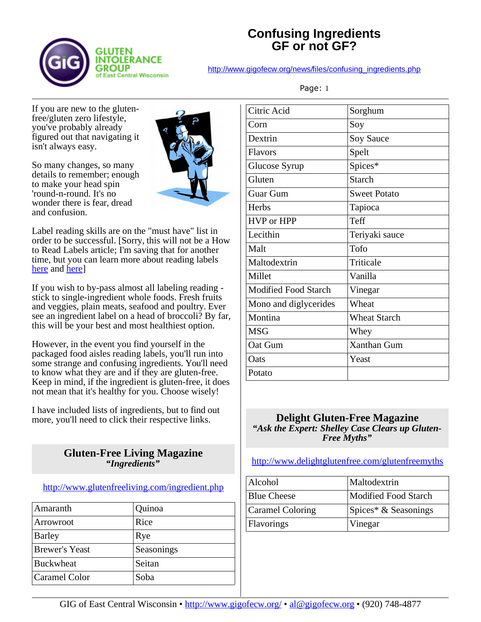

## **Confusing Ingredients GF or not GF?**

[http://www.gigofecw.org/news/files/confusing\\_ingredients.php](http://www.gigofecw.org/news/files/confusing_ingredients.php)

If you are new to the glutenfree/gluten zero lifestyle, you've probably already figured out that navigating it isn't always easy.

So many changes, so many details to remember; enough to make your head spin 'round-n-round. It's no wonder there is fear, dread and confusion.



Label reading skills are on the "must have" list in order to be successful. [Sorry, this will not be a How to Read Labels article; I'm saving that for another time, but you can learn more about reading labels [here](https://www.gluten.net/resources/the-gluten-free-label/) and [here\]](http://www.glutenfreeliving.com/nutrition/labels/)

If you wish to by-pass almost all labeling reading stick to single-ingredient whole foods. Fresh fruits and veggies, plain meats, seafood and poultry. Ever see an ingredient label on a head of broccoli? By far, this will be your best and most healthiest option.

However, in the event you find yourself in the packaged food aisles reading labels, you'll run into some strange and confusing ingredients. You'll need to know what they are and if they are gluten-free. Keep in mind, if the ingredient is gluten-free, it does not mean that it's healthy for you. Choose wisely!

I have included lists of ingredients, but to find out more, you'll need to click their respective links.

## **Gluten-Free Living Magazine** *"Ingredients"*

## <http://www.glutenfreeliving.com/ingredient.php>

| Amaranth              | Quinoa     |
|-----------------------|------------|
| Arrowroot             | Rice       |
| <b>Barley</b>         | Rye        |
| <b>Brewer's Yeast</b> | Seasonings |
| <b>Buckwheat</b>      | Seitan     |
| Caramel Color         | Soba       |

| Citric Acid                 | Sorghum             |
|-----------------------------|---------------------|
| Corn                        | Soy                 |
| Dextrin                     | Soy Sauce           |
| <b>Flavors</b>              | Spelt               |
| Glucose Syrup               | Spices*             |
| Gluten                      | <b>Starch</b>       |
| <b>Guar Gum</b>             | <b>Sweet Potato</b> |
| Herbs                       | Tapioca             |
| <b>HVP</b> or HPP           | Teff                |
| Lecithin                    | Teriyaki sauce      |
| Malt                        | Tofo                |
| Maltodextrin                | Triticale           |
| Millet                      | Vanilla             |
| <b>Modified Food Starch</b> | Vinegar             |
| Mono and diglycerides       | Wheat               |
| Montina                     | <b>Wheat Starch</b> |
| <b>MSG</b>                  | Whey                |
| Oat Gum                     | Xanthan Gum         |
| Oats                        | Yeast               |
| Potato                      |                     |
|                             |                     |

#### **Delight Gluten-Free Magazine** *"Ask the Expert: Shelley Case Clears up Gluten-Free Myths"*

## <http://www.delightglutenfree.com/glutenfreemyths>

| Alcohol                 | Maltodextrin         |
|-------------------------|----------------------|
| Blue Cheese             | Modified Food Starch |
| <b>Caramel Coloring</b> | Spices* & Seasonings |
| Flavorings              | Vinegar              |